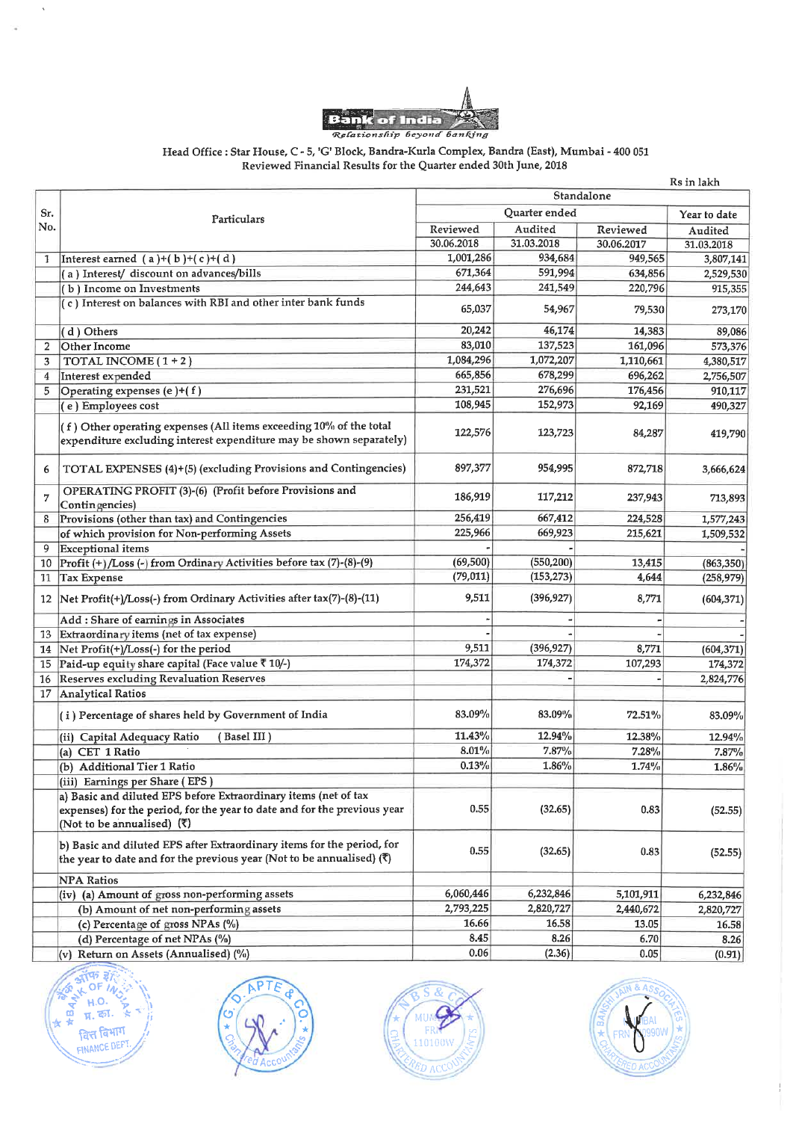

#### Head Office : Star House, C - 5, 'G' Block, Bandra-Kurla Complex, Bandra (East), Mumbai - 400 051 Reviewed Financial Results for the Quarter ended 30th June, 2018

|                |                                                                                                                                                            |               |            |                  | Rs in lakh         |
|----------------|------------------------------------------------------------------------------------------------------------------------------------------------------------|---------------|------------|------------------|--------------------|
|                |                                                                                                                                                            | Standalone    |            |                  |                    |
| Sr.            | Particulars                                                                                                                                                | Quarter ended |            |                  | Year to date       |
| No.            |                                                                                                                                                            | Reviewed      | Audited    | Reviewed         | Audited            |
|                |                                                                                                                                                            | 30.06.2018    | 31.03.2018 | 30.06.2017       | 31.03.2018         |
| 1              | Interest earned $(a)+(b)+(c)+(d)$                                                                                                                          | 1,001,286     | 934,684    | 949,565          | 3,807,141          |
|                | (a) Interest/ discount on advances/bills                                                                                                                   | 671,364       | 591,994    | 634,856          | 2,529,530          |
|                | (b) Income on Investments                                                                                                                                  | 244,643       | 241,549    | 220,796          | 915,355            |
|                | (c) Interest on balances with RBI and other inter bank funds                                                                                               | 65,037        | 54.967     | 79,530           | 273,170            |
|                | (d) Others                                                                                                                                                 | 20,242        | 46,174     | 14,383           | 89,086             |
| $\overline{2}$ | <b>Other Income</b>                                                                                                                                        | 83,010        | 137,523    | 161,096          | 573,376            |
| 3              | TOTAL INCOME $(1 + 2)$                                                                                                                                     | 1,084,296     | 1,072,207  | 1,110,661        | 4,380,517          |
| 4              | Interest expended                                                                                                                                          | 665,856       | 678,299    | 696,262          | 2,756,507          |
| 5              | Operating expenses (e)+(f)                                                                                                                                 | 231,521       | 276,696    | 176,456          |                    |
|                | (e) Employees cost                                                                                                                                         | 108,945       | 152,973    |                  | 910,117<br>490,327 |
|                | (f) Other operating expenses (All items exceeding 10% of the total<br>expenditure excluding interest expenditure may be shown separately)                  | 122,576       | 123,723    | 92,169<br>84,287 | 419,790            |
| 6              | TOTAL EXPENSES (4)+(5) (excluding Provisions and Contingencies)                                                                                            | 897,377       | 954,995    | 872,718          | 3,666,624          |
| $\overline{7}$ | OPERATING PROFIT (3)-(6) (Profit before Provisions and<br>Contingencies)                                                                                   | 186,919       | 117,212    | 237,943          | 713,893            |
| 8              | Provisions (other than tax) and Contingencies                                                                                                              | 256,419       | 667,412    | 224,528          | 1,577,243          |
|                | of which provision for Non-performing Assets                                                                                                               | 225,966       | 669,923    | 215,621          | 1,509,532          |
| 9              | Exceptional items                                                                                                                                          |               |            |                  |                    |
| 10             | Profit (+)/Loss (-) from Ordinary Activities before tax (7)-(8)-(9)                                                                                        | (69, 500)     | (550, 200) | 13,415           | (863, 350)         |
| 11             | <b>Tax Expense</b>                                                                                                                                         | (79, 011)     | (153, 273) | 4,644            | (258, 979)         |
|                | 12   Net Profit(+)/Loss(-) from Ordinary Activities after tax(7)-(8)-(11)                                                                                  | 9,511         | (396, 927) | 8,771            | (604, 371)         |
|                | Add : Share of earnings in Associates                                                                                                                      |               |            |                  |                    |
| 13             | Extraordinary items (net of tax expense)                                                                                                                   |               |            |                  |                    |
|                | 14 Net Profit(+)/Loss(-) for the period                                                                                                                    | 9,511         | (396, 927) | 8,771            | (604, 371)         |
|                | 15 Paid-up equity share capital (Face value ₹ 10/-)                                                                                                        | 174,372       | 174,372    | 107,293          | 174,372            |
|                | 16 Reserves excluding Revaluation Reserves                                                                                                                 |               |            |                  | 2,824,776          |
|                | 17 Analytical Ratios                                                                                                                                       |               |            |                  |                    |
|                | (i) Percentage of shares held by Government of India                                                                                                       | 83.09%        | 83.09%     | 72.51%           | 83.09%             |
|                | (Basel III)<br>(ii) Capital Adequacy Ratio                                                                                                                 | 11.43%        | 12.94%     | 12.38%           | 12.94%             |
|                | (a) CET 1 Ratio                                                                                                                                            | 8.01%         | 7.87%      | 7.28%            | 7.87%              |
|                | (b) Additional Tier 1 Ratio                                                                                                                                | 0.13%         | 1.86%      | 1.74%            | 1.86%              |
|                | (iii) Earnings per Share (EPS)                                                                                                                             |               |            |                  |                    |
|                | a) Basic and diluted EPS before Extraordinary items (net of tax                                                                                            |               |            |                  |                    |
|                | expenses) for the period, for the year to date and for the previous year                                                                                   | 0.55          | (32.65)    | 0.83             | (52.55)            |
|                | (Not to be annualised) $(5)$                                                                                                                               |               |            |                  |                    |
|                | b) Basic and diluted EPS after Extraordinary items for the period, for<br>the year to date and for the previous year (Not to be annualised) $(\bar{\tau})$ | 0.55          | (32.65)    | 0.83             | (52.55)            |
|                | <b>NPA Ratios</b>                                                                                                                                          |               |            |                  |                    |
|                | (iv) (a) Amount of gross non-performing assets                                                                                                             | 6,060,446     | 6,232,846  | 5,101,911        | 6,232,846          |
|                | (b) Amount of net non-performing assets                                                                                                                    | 2,793,225     | 2,820,727  | 2,440,672        | 2,820,727          |
|                | (c) Percentage of gross NPAs (%)                                                                                                                           | 16.66         | 16.58      | 13.05            | 16.58              |
|                | (d) Percentage of net NPAs (%)                                                                                                                             | 8.45          | 8.26       | 6.70             | 8.26               |
|                | (v) Return on Assets (Annualised) (%)                                                                                                                      | 0.06          | (2.36)     | 0.05             | (0.91)             |









 $\mathord{\uparrow}$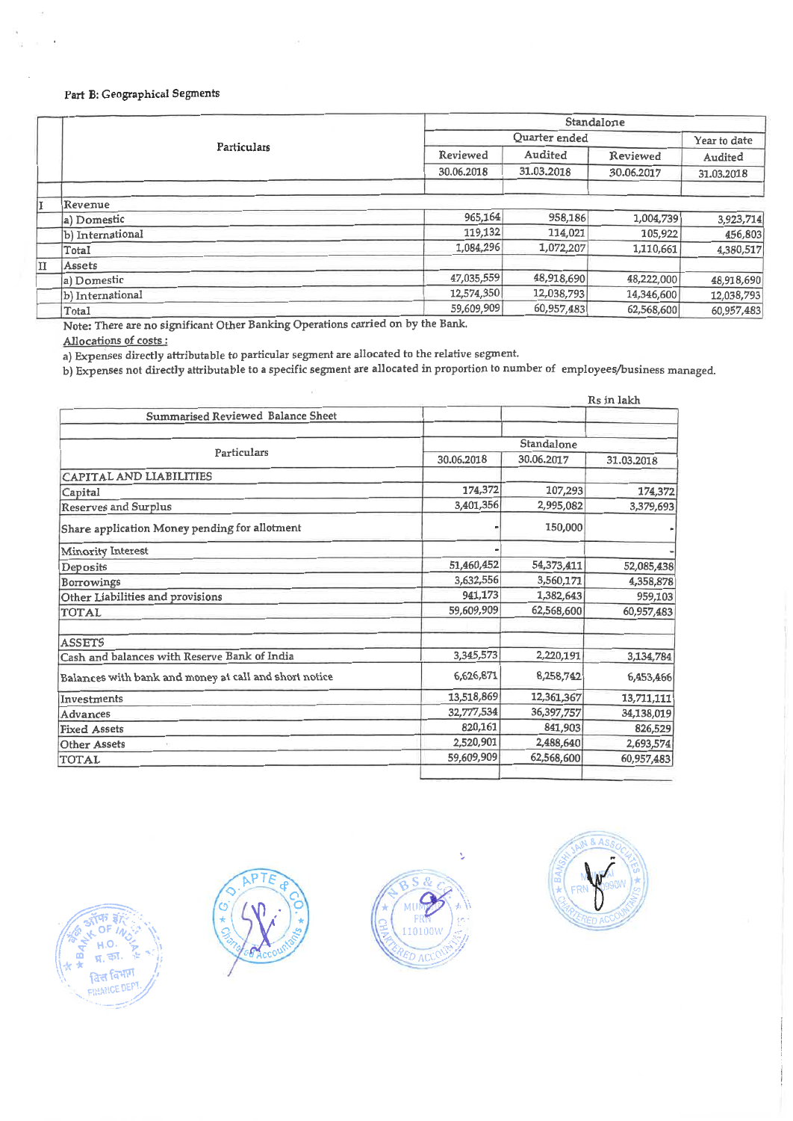## Part B: Geographical Segments

|    | Particulars      |            | Standalone            |                        |                       |  |
|----|------------------|------------|-----------------------|------------------------|-----------------------|--|
|    |                  |            | Quarter ended         |                        |                       |  |
|    |                  | Reviewed   | Audited<br>31.03.2018 | Reviewed<br>30.06.2017 | Audited<br>31.03.2018 |  |
|    |                  | 30.06.2018 |                       |                        |                       |  |
| Iĭ | Revenue          |            |                       |                        |                       |  |
|    | a) Domestic      | 965,164    | 958,186               | 1,004,739              | 3,923,714             |  |
|    | b) International | 119,132    | 114,021               | 105,922                | 456,803               |  |
|    | Total            | 1,084,296  | 1,072,207             | 1,110,661              | 4,380,517             |  |
| п  | Assets           |            |                       |                        |                       |  |
|    | a) Domestic      | 47,035,559 | 48,918,690            | 48,222,000             | 48,918,690            |  |
|    | b) International | 12,574,350 | 12,038,793            | 14,346,600             | 12,038,793            |  |
|    | Total            | 59,609,909 | 60,957,483            | 62,568,600             | 60,957,483            |  |

Note: There are no significant Other Banking Operations carried on by the Bank.

Allocations of costs :

a) Expenses directly attributable to particular segment are allocated to the relative segment.

b) Expenses not directly attributable to a specific segment are allocated in proportion to number of employees/business managed.

|                                                       | Rs in lakh |            |            |  |
|-------------------------------------------------------|------------|------------|------------|--|
| Summarised Reviewed Balance Sheet                     |            |            |            |  |
|                                                       | Standalone |            |            |  |
| Particulars                                           | 30.06.2018 | 30.06.2017 | 31.03.2018 |  |
| CAPITAL AND LIABILITIES                               |            |            |            |  |
| Capital                                               | 174,372    | 107,293    | 174,372    |  |
| <b>Reserves and Surplus</b>                           | 3,401,356  | 2,995,082  | 3,379,693  |  |
| Share application Money pending for allotment         |            | 150,000    |            |  |
| Minority Interest                                     |            |            |            |  |
| Deposits                                              | 51,460,452 | 54,373,411 | 52,085,438 |  |
| <b>Borrowings</b>                                     | 3,632,556  | 3,560,171  | 4,358,878  |  |
| Other Liabilities and provisions                      | 941,173    | 1,382,643  | 959,103    |  |
| TOTAL                                                 | 59,609,909 | 62,568,600 | 60,957,483 |  |
| <b>ASSETS</b>                                         |            |            |            |  |
| Cash and balances with Reserve Bank of India          | 3,345,573  | 2,220,191  | 3,134,784  |  |
| Balances with bank and money at call and short notice | 6,626,871  | 8,258,742  | 6,453,466  |  |
| Investments                                           | 13,518,869 | 12,361,367 | 13,711,111 |  |
| Advances                                              | 32,777,534 | 36,397,757 | 34,138,019 |  |
| <b>Fixed Assets</b>                                   | 820,161    | 841,903    | 826,529    |  |
| <b>Other Assets</b>                                   | 2,520,901  | 2,488,640  | 2,693,574  |  |
| <b>TOTAL</b>                                          | 59,609,909 | 62,568,600 | 60,957,483 |  |







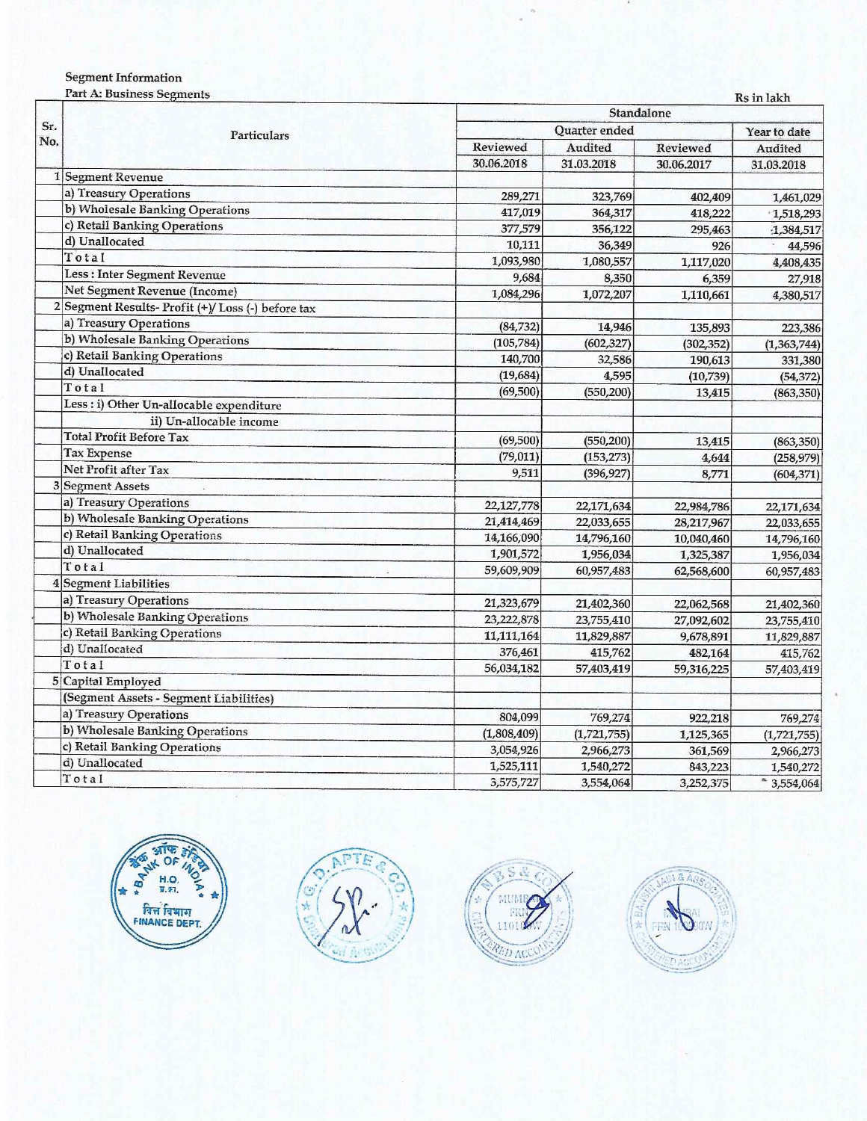### **Segment Information**

Part A: Business Segments

|            | r are ex. Dustriess beginemis                     |             | Ks in lakh     |            |                          |  |
|------------|---------------------------------------------------|-------------|----------------|------------|--------------------------|--|
| Sr.<br>No. | Particulars                                       | Standalone  |                |            |                          |  |
|            |                                                   |             | Quarter ended  |            | Year to date             |  |
|            |                                                   | Reviewed    | <b>Audited</b> | Reviewed   | Audited                  |  |
|            |                                                   | 30.06.2018  | 31.03.2018     | 30.06.2017 | 31.03.2018               |  |
|            | 1 Segment Revenue                                 |             |                |            |                          |  |
|            | a) Treasury Operations                            | 289,271     | 323,769        | 402,409    | 1,461,029                |  |
|            | b) Wholesale Banking Operations                   | 417,019     | 364,317        | 418,222    | 1,518,293                |  |
|            | c) Retail Banking Operations                      | 377,579     | 356,122        | 295,463    | :1,384,517               |  |
|            | d) Unallocated                                    | 10,111      | 36,349         | 926        | 44,596                   |  |
|            | Total                                             | 1,093,980   | 1,080,557      | 1,117,020  | 4,408,435                |  |
|            | Less: Inter Segment Revenue                       | 9,684       | 8,350          | 6,359      | 27,918                   |  |
|            | Net Segment Revenue (Income)                      | 1,084,296   | 1,072,207      | 1,110,661  | 4,380,517                |  |
|            | 2 Segment Results- Profit (+)/Loss (-) before tax |             |                |            |                          |  |
|            | a) Treasury Operations                            | (84, 732)   | 14,946         | 135,893    | 223,386                  |  |
|            | b) Wholesale Banking Operations                   | (105, 784)  | (602, 327)     | (302, 352) | (1,363,744)              |  |
|            | c) Retail Banking Operations                      | 140,700     | 32,586         | 190,613    | 331,380                  |  |
|            | d) Unallocated                                    | (19, 684)   | 4,595          | (10, 739)  | (54, 372)                |  |
|            | Total                                             | (69,500)    | (550, 200)     | 13,415     | (863, 350)               |  |
|            | Less : i) Other Un-allocable expenditure          |             |                |            |                          |  |
|            | ii) Un-allocable income                           |             |                |            |                          |  |
|            | <b>Total Profit Before Tax</b>                    | (69, 500)   | (550, 200)     | 13,415     | (863, 350)               |  |
|            | <b>Tax Expense</b>                                | (79, 011)   | (153, 273)     | 4,644      | (258, 979)               |  |
|            | Net Profit after Tax                              | 9,511       | (396, 927)     | 8,771      | (604, 371)               |  |
|            | 3 Segment Assets                                  |             |                |            |                          |  |
|            | a) Treasury Operations                            | 22,127,778  | 22,171,634     | 22,984,786 |                          |  |
|            | b) Wholesale Banking Operations                   | 21,414,469  | 22,033,655     | 28,217,967 | 22,171,634<br>22,033,655 |  |
|            | c) Retail Banking Operations                      | 14,166,090  | 14,796,160     | 10,040,460 | 14,796,160               |  |
|            | d) Unallocated                                    | 1,901,572   | 1,956,034      | 1,325,387  |                          |  |
|            | Total                                             | 59,609,909  | 60,957,483     | 62,568,600 | 1,956,034                |  |
|            | 4 Segment Liabilities                             |             |                |            | 60,957,483               |  |
|            | a) Treasury Operations                            |             |                |            |                          |  |
|            | b) Wholesale Banking Operations                   | 21,323,679  | 21,402,360     | 22,062,568 | 21,402,360               |  |
|            | c) Retail Banking Operations                      | 23,222,878  | 23,755,410     | 27,092,602 | 23,755,410               |  |
|            | d) Unallocated                                    | 11,111,164  | 11,829,887     | 9,678,891  | 11,829,887               |  |
|            | Total                                             | 376,461     | 415,762        | 482,164    | 415,762                  |  |
|            | 5 Capital Employed                                | 56,034,182  | 57,403,419     | 59,316,225 | 57,403,419               |  |
|            | (Segment Assets - Segment Liabilities)            |             |                |            |                          |  |
|            |                                                   |             |                |            |                          |  |
|            | a) Treasury Operations                            | 804,099     | 769,274        | 922,218    | 769,274                  |  |
|            | b) Wholesale Banking Operations                   | (1,808,409) | (1,721,755)    | 1,125,365  | (1,721,755)              |  |
|            | c) Retail Banking Operations                      | 3,054,926   | 2,966,273      | 361,569    | 2,966,273                |  |
|            | d) Unallocated                                    | 1,525,111   | 1,540,272      | 843,223    | 1,540,272                |  |
|            | Total                                             | 3,575,727   | 3,554,064      | 3,252,375  | $*3,554,064$             |  |







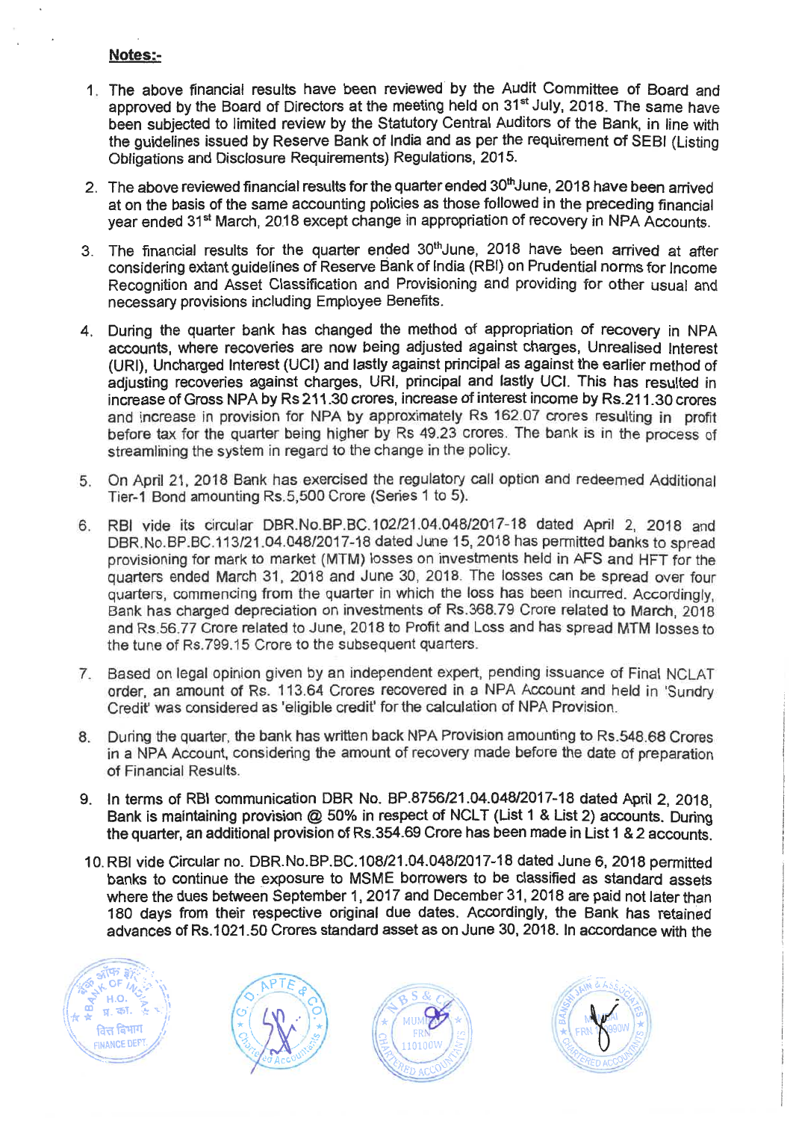## **Notes:-**

- 1 The above financial results have been reviewed by the Audit Committee of Board and approved by the Board of Directors at the meeting held on 31<sup>st</sup> July, 2018. The same have been subjected to limited review by the Statutory Central Auditors of the Bank, in line with the guidelines issued by Reserve Bank of India and as per the requirement of SEBI (Listing Obligations and Disclosure Requirements) Regulations, 2015.
- 2. The above reviewed financial results for the quarter ended 30<sup>th</sup> June, 2018 have been arrived at on the basis of the same accounting policies as those followed in the preceding financial year ended 31<sup>st</sup> March, 2018 except change in appropriation of recovery in NPA Accounts.
- 3. The financial results for the quarter ended 30<sup>th</sup>June, 2018 have been arrived at after considering extant guidelines of Reserve Bank of India (RBI) on Prudential norms for Income Recognition and Asset Classification and Provisioning and providing for other usual and necessary provisions including Employee Benefits.
- 4. During the quarter bank has changed the method of appropriation of recovery in NPA accounts, where recoveries are now being adjusted against charges, Unrealised Interest (URI), Uncharged Interest (UCI) and lastly against principal as against the earlier method of adjusting recoveries against charges, URI, principal and lastly UCI. This has resulted in increase of Gross NPA by Rs 211.30 crores, increase of interest income by Rs.211.30 crores and increase in provision for NPA by approximately Rs 162.07 crores resulting in profit before tax for the quarter being higher by Rs 49.23 crores. The bank is in the process of streamlining the system in regard to the change in the policy.
- 5. On April 21, 2018 Bank has exercised the regulatory call option and redeemed Additional Tier-1 Bond amounting Rs.5,500 Crore (Series 1 to 5).
- 6. RBI vide its circular DBR.No.BP.BC.102/21.04.048/2017-18 dated April 2, 2018 and DBR.No.BP.BC 113/21.04.048/2017-18 dated June 15, 2018 has permitted banks to spread provisioning for mark to market (MTM) losses on investments held in AFS and HFT for the quarters ended March 31, 2018 and June 30, 2018. The losses can be spread over four quarters, commencing from the quarter in which the loss has been incurred. Accordingly, Bank has charged depreciation on investments of Rs.368.79 Crore related to March, 2018 and Rs.56.77 Crore related to June, 2018 to Profit and Loss and has spread MTM losses to the tune of Rs.799.15 Crore to the subsequent quarters
- 7. Based on legal opinion given by an independent expert, pending issuance of Final NCLAT order, an amount of Rs. 113.64 Crores recovered in a NPA Account and held in 'Sundry Credit' was considered as 'eligible credit' for the calculation of NPA Provision.
- 8. During the quarter, the bank has written back NPA Provision amounting to Rs.548.68 Crores in a NPA Account, considering the amount of recovery made before the date of preparation of Financial Results.
- 9. In terms of RBI communication DBR No. BP.8756/21.04.048/2017-18 dated April 2, 2018, Bank is maintaining provision @ 50% in respect of NCLT (List 1 & List 2) accounts. During the quarter, an additional provision of Rs.354.69 Crore has been made **in** List 1 & 2 accounts.
- 10. RBI vide Circular no. DBR.No.BP.BC.108/21.04.048/2017-18 dated June 6, 2018 permitted banks to continue the exposure to MSME borrowers to be classified as standard assets where the dues between September 1, 2017 and December 31, 2018 are paid not later than 180 days from their respective original due dates. Accordingly, the Bank has retained advances of Rs.1021.50 Crores standard asset as on June 30, 2018. In accordance with the







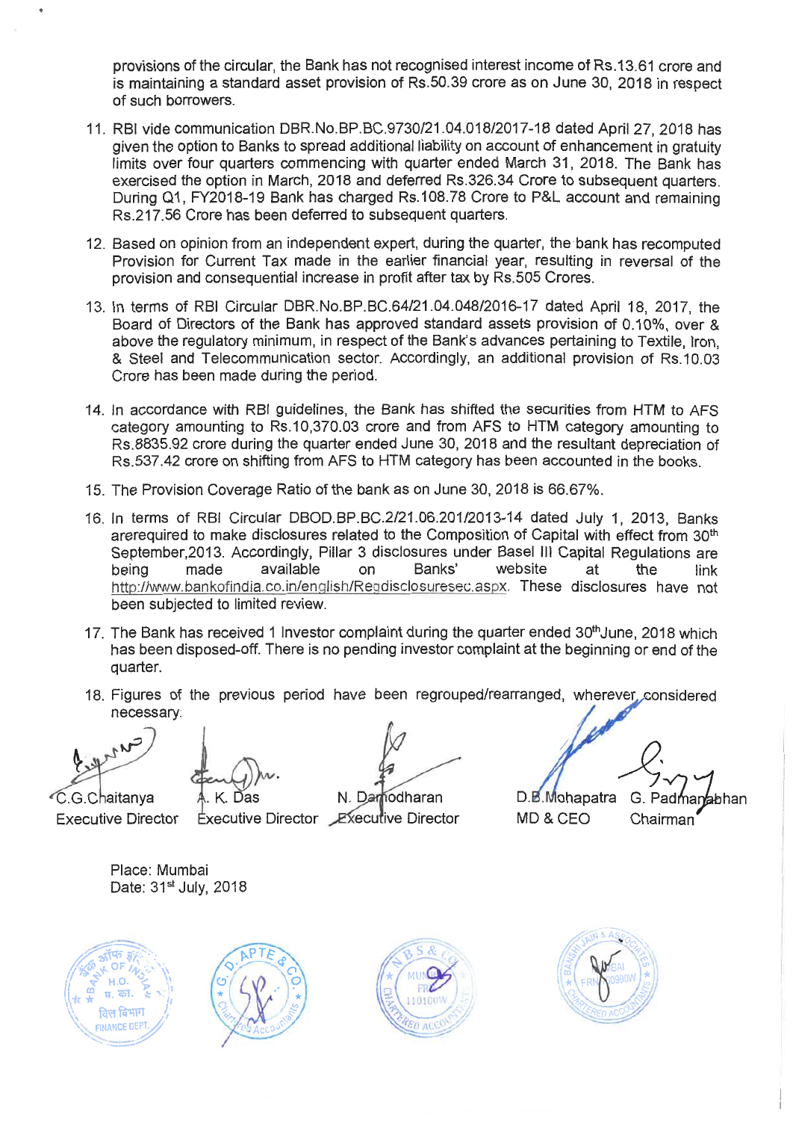provisions of the circular, the Bank has not recognised interest income of Rs.13.61 crore and is maintaining a standard asset provision of Rs.50.39 crore as on June 30, 2018 in respect of such borrowers.

- 11. RBI vide communication DBR.No.BP.BC.9730/21.04.018/2017-18 dated April 27, 2018 has given the option to Banks to spread additional liability on account of enhancement in gratuity limits over four quarters commencing with quarter ended March 31, 2018. The Bank has exercised the option in March, 2018 and deferred Rs.326.34 Crore to subsequent quarters. During Q1, FY2018-19 Bank has charged Rs.108.78 Crore to P&L account and remaining Rs.217.56 Crore has been deferred to subsequent quarters.
- 12. Based on opinion from an independent expert, during the quarter, the bank has recomputed Provision for Current Tax made in the earlier financial year, resulting in reversal of the provision and consequential increase in profit after tax by Rs.505 Crores.
- 13. In terms of RBI Circular DBR.No.BP.BC.64/21.04.048/2016-17 dated April 18, 2017, the Board of Directors of the Bank has approved standard assets provision of 0.10%, over & above the regulatory minimum, in respect of the Bank's advances pertaining to Textile, Iron, & Steel and Telecommunication sector. Accordingly, an additional provision of Rs.10.03 Crore has been made during the period.
- 14. In accordance with RBI guidelines, the Bank has shifted the securities from HTM to AFS category amounting to Rs.10,370.03 crore and from AFS to HTM category amounting to Rs.8835.92 crore during the quarter ended June 30, 2018 and the resultant depreciation of Rs.537.42 crore on shifting from AFS to HTM category has been accounted in the books.
- 15. The Provision Coverage Ratio of the bank as on June 30, 2018 is 66.67%.
- 16. In terms of RBI Circular DBOD.BP.BC.2/21.06.201/2013-14 dated July 1, 2013, Banks arerequired to make disclosures related to the Composition of Capital with effect from 30<sup>th</sup> September,2013. Accordingly, Pillar 3 disclosures under Basel III Capital Regulations are<br>being made available on Banks' website at the link being made available on Banks' website at the link http://www.bankofindia.co.in/english/Regdisclosuresec.as px. These disclosures have not been subjected to limited review.
- 17. The Bank has received 1 Investor complaint during the quarter ended 30<sup>th</sup>June, 2018 which has been disposed-off. There is no pending investor complaint at the beginning or end of the quarter.
- 18. Figures of the previous period have been regrouped/rearranged, wherever considered necessary.

Carry

''C.G.Chaitanya Executive Director

. K. Das

N. Damodharan D.B. Mohapatra G. Padmanabhan ixecutive Director MD & CEO Chairman

Place: Mumbai Date: 31<sup>st</sup> July, 2018







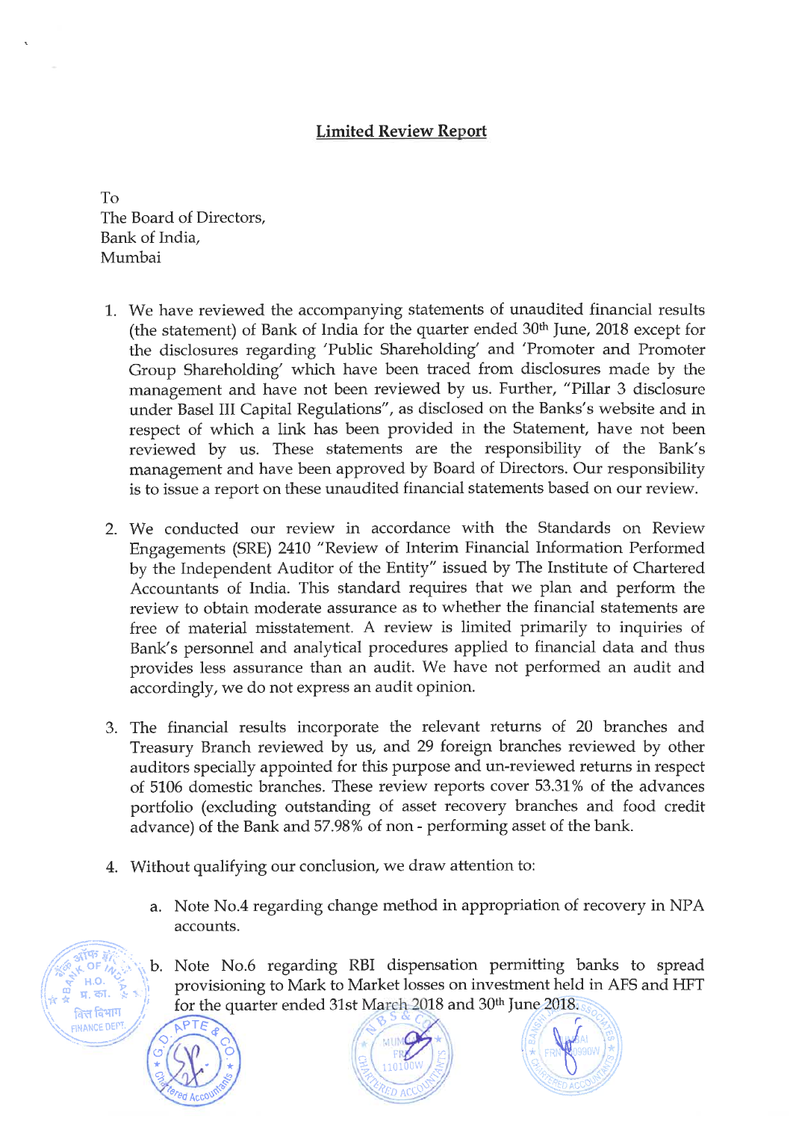# **Limited Review Report**

To The Board of Directors, Bank of India, Mumbai

- 1. We have reviewed the accompanying statements of unaudited financial results (the statement) of Bank of India for the quarter ended  $30<sup>th</sup>$  June, 2018 except for the disclosures regarding 'Public Shareholding' and 'Promoter and Promoter Group Shareholding' which have been traced from disclosures made by the management and have not been reviewed by us. Further, "Pillar 3 disclosure under Basel III Capital Regulations", as disclosed on the Banks's website and in respect of which a link has been provided in the Statement, have not been reviewed by us. These statements are the responsibility of the Bank's management and have been approved by Board of Directors. Our responsibility is to issue a report on these unaudited financial statements based on our review.
- 2. We conducted our review in accordance with the Standards on Review Engagements (SRE) 2410 "Review of Interim Financial Information Performed by the Independent Auditor of the Entity" issued by The Institute of Chartered Accountants of India. This standard requires that we plan and perform the review to obtain moderate assurance as to whether the financial statements are free of material misstatement. A review is limited primarily to inquiries of Bank's personnel and analytical procedures applied to financial data and thus provides less assurance than an audit. We have not performed an audit and accordingly, we do not express an audit opinion.
- 3. The financial results incorporate the relevant returns of 20 branches and Treasury Branch reviewed by us, and 29 foreign branches reviewed by other auditors specially appointed for this purpose and un-reviewed returns in respect of 5106 domestic branches. These review reports cover 53.31% of the advances portfolio (excluding outstanding of asset recovery branches and food credit advance) of the Bank and 57.98% of non - performing asset of the bank.
- 4. Without qualifying our conclusion, we draw attention to:
	- a. Note No.4 regarding change method in appropriation of recovery in NPA accounts.
	- **b.** Note No.6 regarding RBI dispensation permitting banks to spread **);** provisioning to Mark to Market losses on investment held in AFS and HFT for the quarter ended 31st March 2018 and 30<sup>th</sup> June 2018.



14 Miles

**i\* '**

 $k$  OF  $h$ **,**

**H.O.** 

<sub>वि</sub>स विभाग **INANCE DEP**